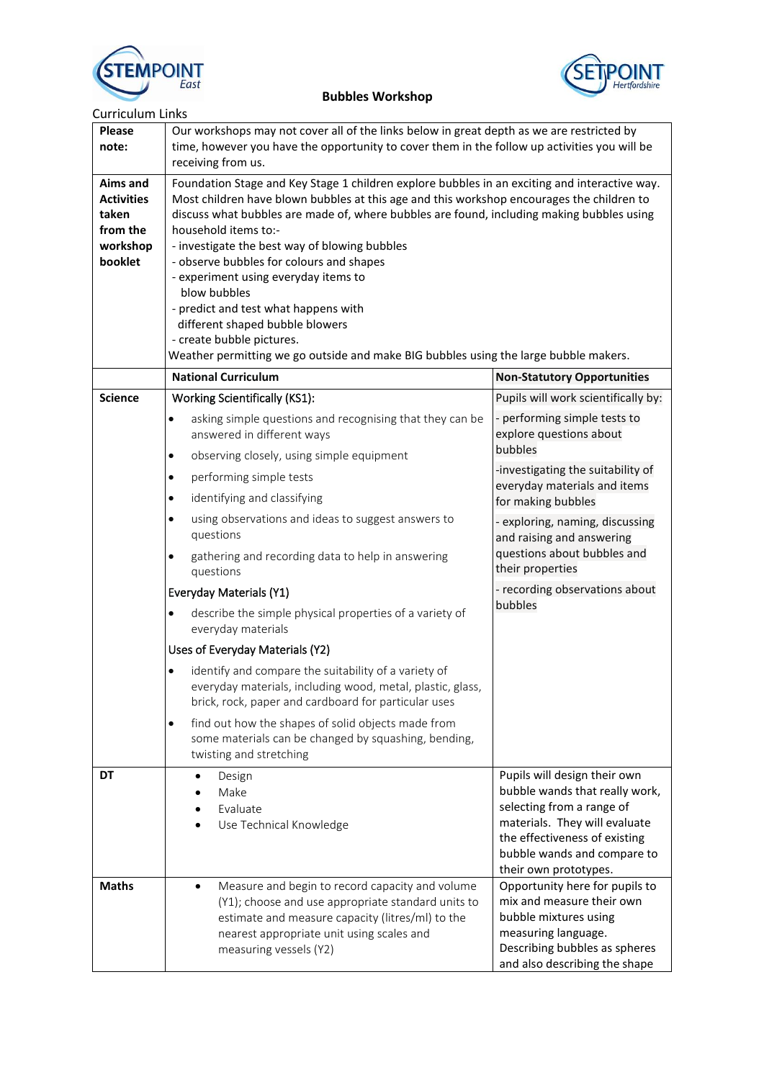



| <b>Curriculum Links</b>                                                   |                                                                                                                                                                                                                                                                                                                                                                                                                                                                                                                                                                                                                                                                      |                                                                                                                                                                                                                       |  |
|---------------------------------------------------------------------------|----------------------------------------------------------------------------------------------------------------------------------------------------------------------------------------------------------------------------------------------------------------------------------------------------------------------------------------------------------------------------------------------------------------------------------------------------------------------------------------------------------------------------------------------------------------------------------------------------------------------------------------------------------------------|-----------------------------------------------------------------------------------------------------------------------------------------------------------------------------------------------------------------------|--|
| <b>Please</b><br>note:                                                    | Our workshops may not cover all of the links below in great depth as we are restricted by<br>time, however you have the opportunity to cover them in the follow up activities you will be<br>receiving from us.                                                                                                                                                                                                                                                                                                                                                                                                                                                      |                                                                                                                                                                                                                       |  |
| Aims and<br><b>Activities</b><br>taken<br>from the<br>workshop<br>booklet | Foundation Stage and Key Stage 1 children explore bubbles in an exciting and interactive way.<br>Most children have blown bubbles at this age and this workshop encourages the children to<br>discuss what bubbles are made of, where bubbles are found, including making bubbles using<br>household items to:-<br>- investigate the best way of blowing bubbles<br>- observe bubbles for colours and shapes<br>- experiment using everyday items to<br>blow bubbles<br>- predict and test what happens with<br>different shaped bubble blowers<br>- create bubble pictures.<br>Weather permitting we go outside and make BIG bubbles using the large bubble makers. |                                                                                                                                                                                                                       |  |
|                                                                           | <b>National Curriculum</b>                                                                                                                                                                                                                                                                                                                                                                                                                                                                                                                                                                                                                                           | <b>Non-Statutory Opportunities</b>                                                                                                                                                                                    |  |
| <b>Science</b>                                                            | <b>Working Scientifically (KS1):</b>                                                                                                                                                                                                                                                                                                                                                                                                                                                                                                                                                                                                                                 | Pupils will work scientifically by:                                                                                                                                                                                   |  |
|                                                                           | asking simple questions and recognising that they can be<br>$\bullet$<br>answered in different ways                                                                                                                                                                                                                                                                                                                                                                                                                                                                                                                                                                  | - performing simple tests to<br>explore questions about<br>bubbles                                                                                                                                                    |  |
|                                                                           | observing closely, using simple equipment<br>$\bullet$                                                                                                                                                                                                                                                                                                                                                                                                                                                                                                                                                                                                               | -investigating the suitability of                                                                                                                                                                                     |  |
|                                                                           | performing simple tests<br>$\bullet$                                                                                                                                                                                                                                                                                                                                                                                                                                                                                                                                                                                                                                 | everyday materials and items                                                                                                                                                                                          |  |
|                                                                           | identifying and classifying<br>$\bullet$                                                                                                                                                                                                                                                                                                                                                                                                                                                                                                                                                                                                                             | for making bubbles                                                                                                                                                                                                    |  |
|                                                                           | using observations and ideas to suggest answers to<br>$\bullet$<br>questions                                                                                                                                                                                                                                                                                                                                                                                                                                                                                                                                                                                         | - exploring, naming, discussing<br>and raising and answering                                                                                                                                                          |  |
|                                                                           | gathering and recording data to help in answering<br>$\bullet$<br>questions                                                                                                                                                                                                                                                                                                                                                                                                                                                                                                                                                                                          | questions about bubbles and<br>their properties                                                                                                                                                                       |  |
|                                                                           | Everyday Materials (Y1)                                                                                                                                                                                                                                                                                                                                                                                                                                                                                                                                                                                                                                              | - recording observations about                                                                                                                                                                                        |  |
|                                                                           | describe the simple physical properties of a variety of<br>$\bullet$<br>everyday materials                                                                                                                                                                                                                                                                                                                                                                                                                                                                                                                                                                           | bubbles                                                                                                                                                                                                               |  |
|                                                                           | Uses of Everyday Materials (Y2)                                                                                                                                                                                                                                                                                                                                                                                                                                                                                                                                                                                                                                      |                                                                                                                                                                                                                       |  |
|                                                                           | identify and compare the suitability of a variety of<br>٠<br>everyday materials, including wood, metal, plastic, glass,<br>brick, rock, paper and cardboard for particular uses                                                                                                                                                                                                                                                                                                                                                                                                                                                                                      |                                                                                                                                                                                                                       |  |
|                                                                           | find out how the shapes of solid objects made from<br>$\bullet$<br>some materials can be changed by squashing, bending,<br>twisting and stretching                                                                                                                                                                                                                                                                                                                                                                                                                                                                                                                   |                                                                                                                                                                                                                       |  |
| DT                                                                        | Design<br>Make<br>Evaluate<br>Use Technical Knowledge                                                                                                                                                                                                                                                                                                                                                                                                                                                                                                                                                                                                                | Pupils will design their own<br>bubble wands that really work,<br>selecting from a range of<br>materials. They will evaluate<br>the effectiveness of existing<br>bubble wands and compare to<br>their own prototypes. |  |
| <b>Maths</b>                                                              | Measure and begin to record capacity and volume<br>$\bullet$<br>(Y1); choose and use appropriate standard units to<br>estimate and measure capacity (litres/ml) to the<br>nearest appropriate unit using scales and<br>measuring vessels (Y2)                                                                                                                                                                                                                                                                                                                                                                                                                        | Opportunity here for pupils to<br>mix and measure their own<br>bubble mixtures using<br>measuring language.<br>Describing bubbles as spheres<br>and also describing the shape                                         |  |